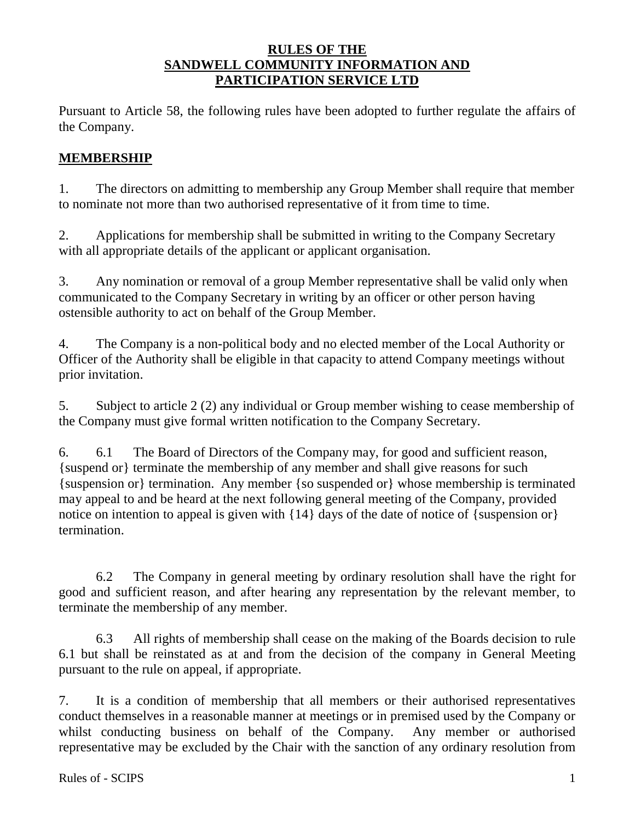#### **RULES OF THE SANDWELL COMMUNITY INFORMATION AND PARTICIPATION SERVICE LTD**

Pursuant to Article 58, the following rules have been adopted to further regulate the affairs of the Company.

### **MEMBERSHIP**

1. The directors on admitting to membership any Group Member shall require that member to nominate not more than two authorised representative of it from time to time.

2. Applications for membership shall be submitted in writing to the Company Secretary with all appropriate details of the applicant or applicant organisation.

3. Any nomination or removal of a group Member representative shall be valid only when communicated to the Company Secretary in writing by an officer or other person having ostensible authority to act on behalf of the Group Member.

4. The Company is a non-political body and no elected member of the Local Authority or Officer of the Authority shall be eligible in that capacity to attend Company meetings without prior invitation.

5. Subject to article 2 (2) any individual or Group member wishing to cease membership of the Company must give formal written notification to the Company Secretary.

6. 6.1 The Board of Directors of the Company may, for good and sufficient reason, {suspend or} terminate the membership of any member and shall give reasons for such {suspension or} termination. Any member {so suspended or} whose membership is terminated may appeal to and be heard at the next following general meeting of the Company, provided notice on intention to appeal is given with  $\{14\}$  days of the date of notice of  $\{$ suspension or $\}$ termination.

6.2 The Company in general meeting by ordinary resolution shall have the right for good and sufficient reason, and after hearing any representation by the relevant member, to terminate the membership of any member.

6.3 All rights of membership shall cease on the making of the Boards decision to rule 6.1 but shall be reinstated as at and from the decision of the company in General Meeting pursuant to the rule on appeal, if appropriate.

7. It is a condition of membership that all members or their authorised representatives conduct themselves in a reasonable manner at meetings or in premised used by the Company or whilst conducting business on behalf of the Company. Any member or authorised representative may be excluded by the Chair with the sanction of any ordinary resolution from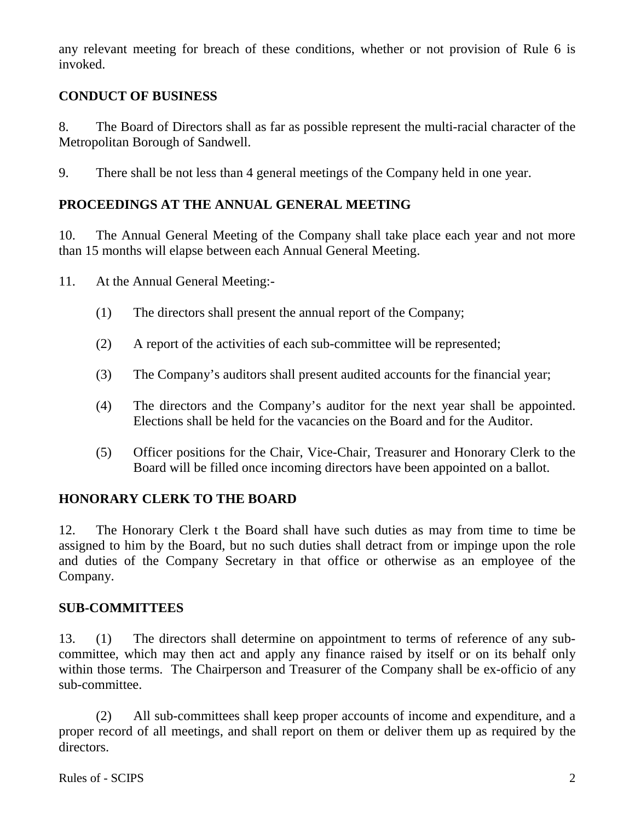any relevant meeting for breach of these conditions, whether or not provision of Rule 6 is invoked.

## **CONDUCT OF BUSINESS**

8. The Board of Directors shall as far as possible represent the multi-racial character of the Metropolitan Borough of Sandwell.

9. There shall be not less than 4 general meetings of the Company held in one year.

# **PROCEEDINGS AT THE ANNUAL GENERAL MEETING**

10. The Annual General Meeting of the Company shall take place each year and not more than 15 months will elapse between each Annual General Meeting.

11. At the Annual General Meeting:-

- (1) The directors shall present the annual report of the Company;
- (2) A report of the activities of each sub-committee will be represented;
- (3) The Company's auditors shall present audited accounts for the financial year;
- (4) The directors and the Company's auditor for the next year shall be appointed. Elections shall be held for the vacancies on the Board and for the Auditor.
- (5) Officer positions for the Chair, Vice-Chair, Treasurer and Honorary Clerk to the Board will be filled once incoming directors have been appointed on a ballot.

# **HONORARY CLERK TO THE BOARD**

12. The Honorary Clerk t the Board shall have such duties as may from time to time be assigned to him by the Board, but no such duties shall detract from or impinge upon the role and duties of the Company Secretary in that office or otherwise as an employee of the Company.

### **SUB-COMMITTEES**

13. (1) The directors shall determine on appointment to terms of reference of any subcommittee, which may then act and apply any finance raised by itself or on its behalf only within those terms. The Chairperson and Treasurer of the Company shall be ex-officio of any sub-committee.

(2) All sub-committees shall keep proper accounts of income and expenditure, and a proper record of all meetings, and shall report on them or deliver them up as required by the directors.